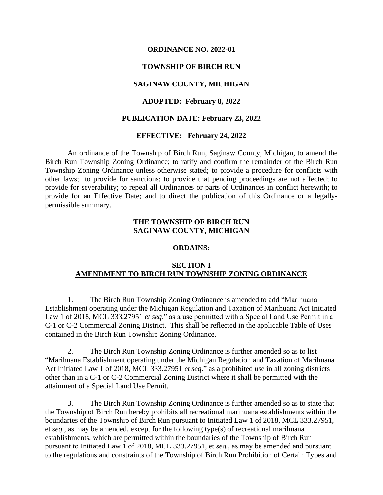#### **ORDINANCE NO. 2022-01**

### **TOWNSHIP OF BIRCH RUN**

### **SAGINAW COUNTY, MICHIGAN**

### **ADOPTED: February 8, 2022**

#### **PUBLICATION DATE: February 23, 2022**

#### **EFFECTIVE: February 24, 2022**

An ordinance of the Township of Birch Run, Saginaw County, Michigan, to amend the Birch Run Township Zoning Ordinance; to ratify and confirm the remainder of the Birch Run Township Zoning Ordinance unless otherwise stated; to provide a procedure for conflicts with other laws; to provide for sanctions; to provide that pending proceedings are not affected; to provide for severability; to repeal all Ordinances or parts of Ordinances in conflict herewith; to provide for an Effective Date; and to direct the publication of this Ordinance or a legallypermissible summary.

### **THE TOWNSHIP OF BIRCH RUN SAGINAW COUNTY, MICHIGAN**

#### **ORDAINS:**

### **SECTION I AMENDMENT TO BIRCH RUN TOWNSHIP ZONING ORDINANCE**

1. The Birch Run Township Zoning Ordinance is amended to add "Marihuana Establishment operating under the Michigan Regulation and Taxation of Marihuana Act Initiated Law 1 of 2018, MCL 333.27951 *et seq*." as a use permitted with a Special Land Use Permit in a C-1 or C-2 Commercial Zoning District. This shall be reflected in the applicable Table of Uses contained in the Birch Run Township Zoning Ordinance.

2. The Birch Run Township Zoning Ordinance is further amended so as to list "Marihuana Establishment operating under the Michigan Regulation and Taxation of Marihuana Act Initiated Law 1 of 2018, MCL 333.27951 *et seq*." as a prohibited use in all zoning districts other than in a C-1 or C-2 Commercial Zoning District where it shall be permitted with the attainment of a Special Land Use Permit.

3. The Birch Run Township Zoning Ordinance is further amended so as to state that the Township of Birch Run hereby prohibits all recreational marihuana establishments within the boundaries of the Township of Birch Run pursuant to Initiated Law 1 of 2018, MCL 333.27951, et *seq*., as may be amended, except for the following type(s) of recreational marihuana establishments, which are permitted within the boundaries of the Township of Birch Run pursuant to Initiated Law 1 of 2018, MCL 333.27951, et *seq*., as may be amended and pursuant to the regulations and constraints of the Township of Birch Run Prohibition of Certain Types and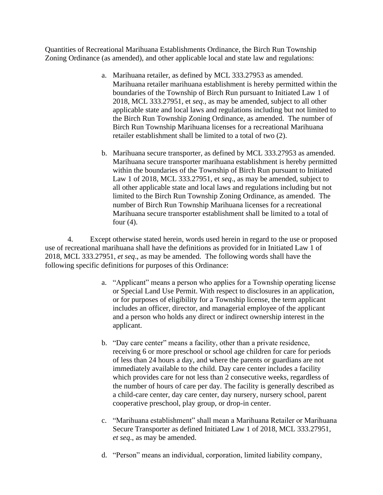Quantities of Recreational Marihuana Establishments Ordinance, the Birch Run Township Zoning Ordinance (as amended), and other applicable local and state law and regulations:

- a. Marihuana retailer, as defined by MCL 333.27953 as amended. Marihuana retailer marihuana establishment is hereby permitted within the boundaries of the Township of Birch Run pursuant to Initiated Law 1 of 2018, MCL 333.27951, et *seq*., as may be amended, subject to all other applicable state and local laws and regulations including but not limited to the Birch Run Township Zoning Ordinance, as amended. The number of Birch Run Township Marihuana licenses for a recreational Marihuana retailer establishment shall be limited to a total of two (2).
- b. Marihuana secure transporter, as defined by MCL 333.27953 as amended. Marihuana secure transporter marihuana establishment is hereby permitted within the boundaries of the Township of Birch Run pursuant to Initiated Law 1 of 2018, MCL 333.27951, et *seq*., as may be amended, subject to all other applicable state and local laws and regulations including but not limited to the Birch Run Township Zoning Ordinance, as amended. The number of Birch Run Township Marihuana licenses for a recreational Marihuana secure transporter establishment shall be limited to a total of four  $(4)$ .

4. Except otherwise stated herein, words used herein in regard to the use or proposed use of recreational marihuana shall have the definitions as provided for in Initiated Law 1 of 2018, MCL 333.27951, *et seq*., as may be amended. The following words shall have the following specific definitions for purposes of this Ordinance:

- a. "Applicant" means a person who applies for a Township operating license or Special Land Use Permit. With respect to disclosures in an application, or for purposes of eligibility for a Township license, the term applicant includes an officer, director, and managerial employee of the applicant and a person who holds any direct or indirect ownership interest in the applicant.
- b. "Day care center" means a facility, other than a private residence, receiving 6 or more preschool or school age children for care for periods of less than 24 hours a day, and where the parents or guardians are not immediately available to the child. Day care center includes a facility which provides care for not less than 2 consecutive weeks, regardless of the number of hours of care per day. The facility is generally described as a child-care center, day care center, day nursery, nursery school, parent cooperative preschool, play group, or drop-in center.
- c. "Marihuana establishment" shall mean a Marihuana Retailer or Marihuana Secure Transporter as defined Initiated Law 1 of 2018, MCL 333.27951, *et seq*., as may be amended.
- d. "Person" means an individual, corporation, limited liability company,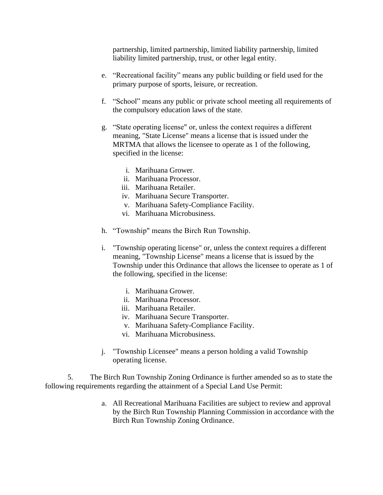partnership, limited partnership, limited liability partnership, limited liability limited partnership, trust, or other legal entity.

- e. "Recreational facility" means any public building or field used for the primary purpose of sports, leisure, or recreation.
- f. "School" means any public or private school meeting all requirements of the compulsory education laws of the state.
- g. "State operating license" or, unless the context requires a different meaning, "State License" means a license that is issued under the MRTMA that allows the licensee to operate as 1 of the following, specified in the license:
	- i. Marihuana Grower.
	- ii. Marihuana Processor.
	- iii. Marihuana Retailer.
	- iv. Marihuana Secure Transporter.
	- v. Marihuana Safety-Compliance Facility.
	- vi. Marihuana Microbusiness.
- h. "Township" means the Birch Run Township.
- i. "Township operating license" or, unless the context requires a different meaning, "Township License" means a license that is issued by the Township under this Ordinance that allows the licensee to operate as 1 of the following, specified in the license:
	- i. Marihuana Grower.
	- ii. Marihuana Processor.
	- iii. Marihuana Retailer.
	- iv. Marihuana Secure Transporter.
	- v. Marihuana Safety-Compliance Facility.
	- vi. Marihuana Microbusiness.
- j. "Township Licensee" means a person holding a valid Township operating license.

5. The Birch Run Township Zoning Ordinance is further amended so as to state the following requirements regarding the attainment of a Special Land Use Permit:

> a. All Recreational Marihuana Facilities are subject to review and approval by the Birch Run Township Planning Commission in accordance with the Birch Run Township Zoning Ordinance.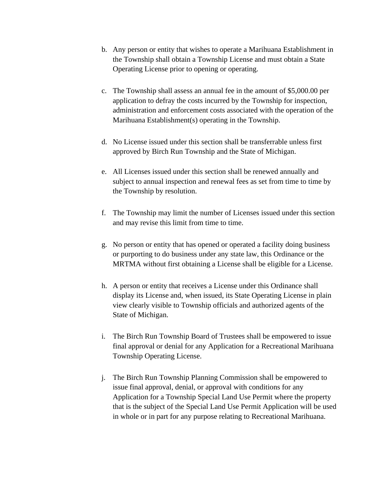- b. Any person or entity that wishes to operate a Marihuana Establishment in the Township shall obtain a Township License and must obtain a State Operating License prior to opening or operating.
- c. The Township shall assess an annual fee in the amount of \$5,000.00 per application to defray the costs incurred by the Township for inspection, administration and enforcement costs associated with the operation of the Marihuana Establishment(s) operating in the Township.
- d. No License issued under this section shall be transferrable unless first approved by Birch Run Township and the State of Michigan.
- e. All Licenses issued under this section shall be renewed annually and subject to annual inspection and renewal fees as set from time to time by the Township by resolution.
- f. The Township may limit the number of Licenses issued under this section and may revise this limit from time to time.
- g. No person or entity that has opened or operated a facility doing business or purporting to do business under any state law, this Ordinance or the MRTMA without first obtaining a License shall be eligible for a License.
- h. A person or entity that receives a License under this Ordinance shall display its License and, when issued, its State Operating License in plain view clearly visible to Township officials and authorized agents of the State of Michigan.
- i. The Birch Run Township Board of Trustees shall be empowered to issue final approval or denial for any Application for a Recreational Marihuana Township Operating License.
- j. The Birch Run Township Planning Commission shall be empowered to issue final approval, denial, or approval with conditions for any Application for a Township Special Land Use Permit where the property that is the subject of the Special Land Use Permit Application will be used in whole or in part for any purpose relating to Recreational Marihuana.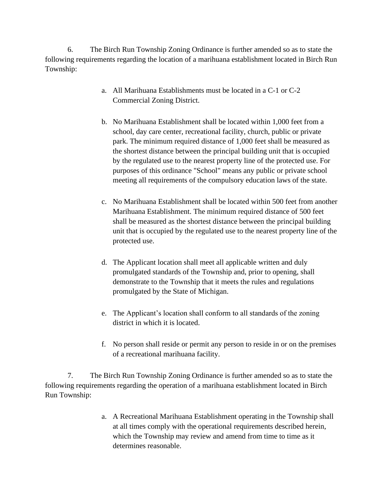6. The Birch Run Township Zoning Ordinance is further amended so as to state the following requirements regarding the location of a marihuana establishment located in Birch Run Township:

- a. All Marihuana Establishments must be located in a C-1 or C-2 Commercial Zoning District.
- b. No Marihuana Establishment shall be located within 1,000 feet from a school, day care center, recreational facility, church, public or private park. The minimum required distance of 1,000 feet shall be measured as the shortest distance between the principal building unit that is occupied by the regulated use to the nearest property line of the protected use. For purposes of this ordinance "School" means any public or private school meeting all requirements of the compulsory education laws of the state.
- c. No Marihuana Establishment shall be located within 500 feet from another Marihuana Establishment. The minimum required distance of 500 feet shall be measured as the shortest distance between the principal building unit that is occupied by the regulated use to the nearest property line of the protected use.
- d. The Applicant location shall meet all applicable written and duly promulgated standards of the Township and, prior to opening, shall demonstrate to the Township that it meets the rules and regulations promulgated by the State of Michigan.
- e. The Applicant's location shall conform to all standards of the zoning district in which it is located.
- f. No person shall reside or permit any person to reside in or on the premises of a recreational marihuana facility.

7. The Birch Run Township Zoning Ordinance is further amended so as to state the following requirements regarding the operation of a marihuana establishment located in Birch Run Township:

> a. A Recreational Marihuana Establishment operating in the Township shall at all times comply with the operational requirements described herein, which the Township may review and amend from time to time as it determines reasonable.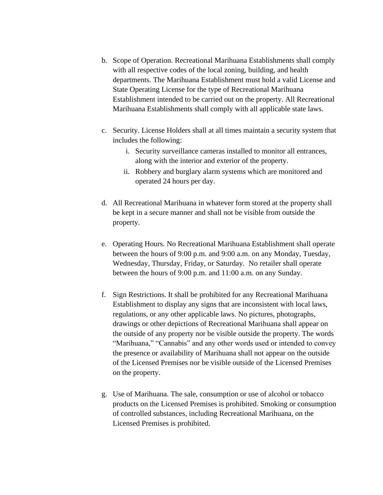- b. Scope of Operation. Recreational Marihuana Establishments shall comply with all respective codes of the local zoning, building, and health departments. The Marihuana Establishment must hold a valid License and State Operating License for the type of Recreational Marihuana Establishment intended to be carried out on the property. All Recreational Marihuana Establishments shall comply with all applicable state laws.
- c. Security. License Holders shall at all times maintain a security system that includes the following:
	- i. Security surveillance cameras installed to monitor all entrances, along with the interior and exterior of the property.
	- ii. Robbery and burglary alarm systems which are monitored and operated 24 hours per day.
- d. All Recreational Marihuana in whatever form stored at the property shall be kept in a secure manner and shall not be visible from outside the property.
- e. Operating Hours. No Recreational Marihuana Establishment shall operate between the hours of 9:00 p.m. and 9:00 a.m. on any Monday, Tuesday, Wednesday, Thursday, Friday, or Saturday. No retailer shall operate between the hours of 9:00 p.m. and 11:00 a.m. on any Sunday.
- f. Sign Restrictions. It shall be prohibited for any Recreational Marihuana Establishment to display any signs that are inconsistent with local laws, regulations, or any other applicable laws. No pictures, photographs, drawings or other depictions of Recreational Marihuana shall appear on the outside of any property nor be visible outside the property. The words "Marihuana," "Cannabis" and any other words used or intended to convey the presence or availability of Marihuana shall not appear on the outside of the Licensed Premises nor be visible outside of the Licensed Premises on the property.
- g. Use of Marihuana. The sale, consumption or use of alcohol or tobacco products on the Licensed Premises is prohibited. Smoking or consumption of controlled substances, including Recreational Marihuana, on the Licensed Premises is prohibited.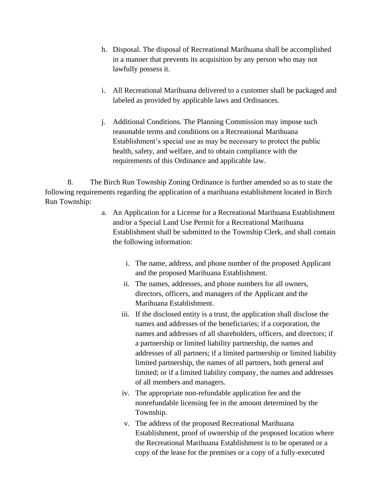- h. Disposal. The disposal of Recreational Marihuana shall be accomplished in a manner that prevents its acquisition by any person who may not lawfully possess it.
- i. All Recreational Marihuana delivered to a customer shall be packaged and labeled as provided by applicable laws and Ordinances.
- j. Additional Conditions. The Planning Commission may impose such reasonable terms and conditions on a Recreational Marihuana Establishment's special use as may be necessary to protect the public health, safety, and welfare, and to obtain compliance with the requirements of this Ordinance and applicable law.

8. The Birch Run Township Zoning Ordinance is further amended so as to state the following requirements regarding the application of a marihuana establishment located in Birch Run Township:

- a. An Application for a License for a Recreational Marihuana Establishment and/or a Special Land Use Permit for a Recreational Marihuana Establishment shall be submitted to the Township Clerk, and shall contain the following information:
	- i. The name, address, and phone number of the proposed Applicant and the proposed Marihuana Establishment.
	- ii. The names, addresses, and phone numbers for all owners, directors, officers, and managers of the Applicant and the Marihuana Establishment.
	- iii. If the disclosed entity is a trust, the application shall disclose the names and addresses of the beneficiaries; if a corporation, the names and addresses of all shareholders, officers, and directors; if a partnership or limited liability partnership, the names and addresses of all partners; if a limited partnership or limited liability limited partnership, the names of all partners, both general and limited; or if a limited liability company, the names and addresses of all members and managers.
	- iv. The appropriate non-refundable application fee and the nonrefundable licensing fee in the amount determined by the Township.
	- v. The address of the proposed Recreational Marihuana Establishment, proof of ownership of the proposed location where the Recreational Marihuana Establishment is to be operated or a copy of the lease for the premises or a copy of a fully-executed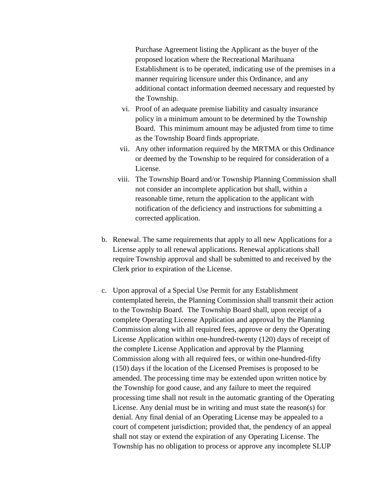Purchase Agreement listing the Applicant as the buyer of the proposed location where the Recreational Marihuana Establishment is to be operated, indicating use of the premises in a manner requiring licensure under this Ordinance, and any additional contact information deemed necessary and requested by the Township.

- vi. Proof of an adequate premise liability and casualty insurance policy in a minimum amount to be determined by the Township Board. This minimum amount may be adjusted from time to time as the Township Board finds appropriate.
- vii. Any other information required by the MRTMA or this Ordinance or deemed by the Township to be required for consideration of a License.
- viii. The Township Board and/or Township Planning Commission shall not consider an incomplete application but shall, within a reasonable time, return the application to the applicant with notification of the deficiency and instructions for submitting a corrected application.
- b. Renewal. The same requirements that apply to all new Applications for a License apply to all renewal applications. Renewal applications shall require Township approval and shall be submitted to and received by the Clerk prior to expiration of the License.
- c. Upon approval of a Special Use Permit for any Establishment contemplated herein, the Planning Commission shall transmit their action to the Township Board. The Township Board shall, upon receipt of a complete Operating License Application and approval by the Planning Commission along with all required fees, approve or deny the Operating License Application within one-hundred-twenty (120) days of receipt of the complete License Application and approval by the Planning Commission along with all required fees, or within one-hundred-fifty (150) days if the location of the Licensed Premises is proposed to be amended. The processing time may be extended upon written notice by the Township for good cause, and any failure to meet the required processing time shall not result in the automatic granting of the Operating License. Any denial must be in writing and must state the reason(s) for denial. Any final denial of an Operating License may be appealed to a court of competent jurisdiction; provided that, the pendency of an appeal shall not stay or extend the expiration of any Operating License. The Township has no obligation to process or approve any incomplete SLUP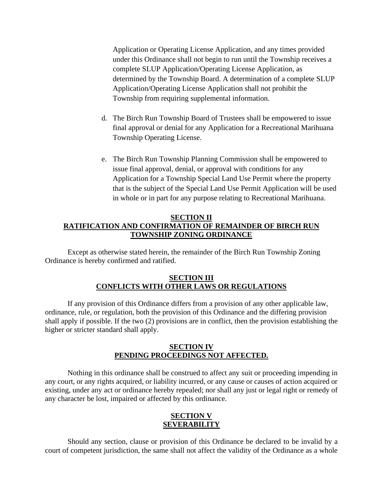Application or Operating License Application, and any times provided under this Ordinance shall not begin to run until the Township receives a complete SLUP Application/Operating License Application, as determined by the Township Board. A determination of a complete SLUP Application/Operating License Application shall not prohibit the Township from requiring supplemental information.

- d. The Birch Run Township Board of Trustees shall be empowered to issue final approval or denial for any Application for a Recreational Marihuana Township Operating License.
- e. The Birch Run Township Planning Commission shall be empowered to issue final approval, denial, or approval with conditions for any Application for a Township Special Land Use Permit where the property that is the subject of the Special Land Use Permit Application will be used in whole or in part for any purpose relating to Recreational Marihuana.

## **SECTION II RATIFICATION AND CONFIRMATION OF REMAINDER OF BIRCH RUN TOWNSHIP ZONING ORDINANCE**

Except as otherwise stated herein, the remainder of the Birch Run Township Zoning Ordinance is hereby confirmed and ratified.

### **SECTION III CONFLICTS WITH OTHER LAWS OR REGULATIONS**

If any provision of this Ordinance differs from a provision of any other applicable law, ordinance, rule, or regulation, both the provision of this Ordinance and the differing provision shall apply if possible. If the two (2) provisions are in conflict, then the provision establishing the higher or stricter standard shall apply.

## **SECTION IV PENDING PROCEEDINGS NOT AFFECTED.**

Nothing in this ordinance shall be construed to affect any suit or proceeding impending in any court, or any rights acquired, or liability incurred, or any cause or causes of action acquired or existing, under any act or ordinance hereby repealed; nor shall any just or legal right or remedy of any character be lost, impaired or affected by this ordinance.

# **SECTION V SEVERABILITY**

Should any section, clause or provision of this Ordinance be declared to be invalid by a court of competent jurisdiction, the same shall not affect the validity of the Ordinance as a whole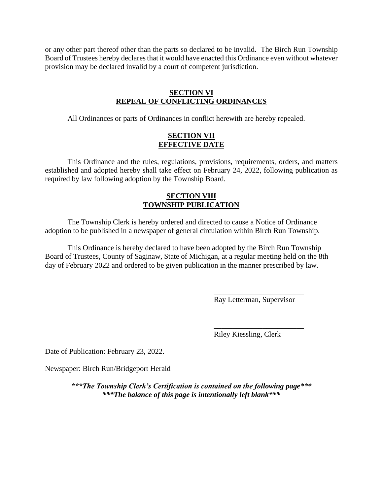or any other part thereof other than the parts so declared to be invalid. The Birch Run Township Board of Trustees hereby declares that it would have enacted this Ordinance even without whatever provision may be declared invalid by a court of competent jurisdiction.

### **SECTION VI REPEAL OF CONFLICTING ORDINANCES**

All Ordinances or parts of Ordinances in conflict herewith are hereby repealed.

### **SECTION VII EFFECTIVE DATE**

This Ordinance and the rules, regulations, provisions, requirements, orders, and matters established and adopted hereby shall take effect on February 24, 2022, following publication as required by law following adoption by the Township Board.

## **SECTION VIII TOWNSHIP PUBLICATION**

The Township Clerk is hereby ordered and directed to cause a Notice of Ordinance adoption to be published in a newspaper of general circulation within Birch Run Township.

This Ordinance is hereby declared to have been adopted by the Birch Run Township Board of Trustees, County of Saginaw, State of Michigan, at a regular meeting held on the 8th day of February 2022 and ordered to be given publication in the manner prescribed by law.

> \_\_\_\_\_\_\_\_\_\_\_\_\_\_\_\_\_\_\_\_\_\_\_\_ Ray Letterman, Supervisor

> \_\_\_\_\_\_\_\_\_\_\_\_\_\_\_\_\_\_\_\_\_\_\_\_ Riley Kiessling, Clerk

Date of Publication: February 23, 2022.

Newspaper: Birch Run/Bridgeport Herald

*\*\*\*The Township Clerk's Certification is contained on the following page\*\*\* \*\*\*The balance of this page is intentionally left blank\*\*\**